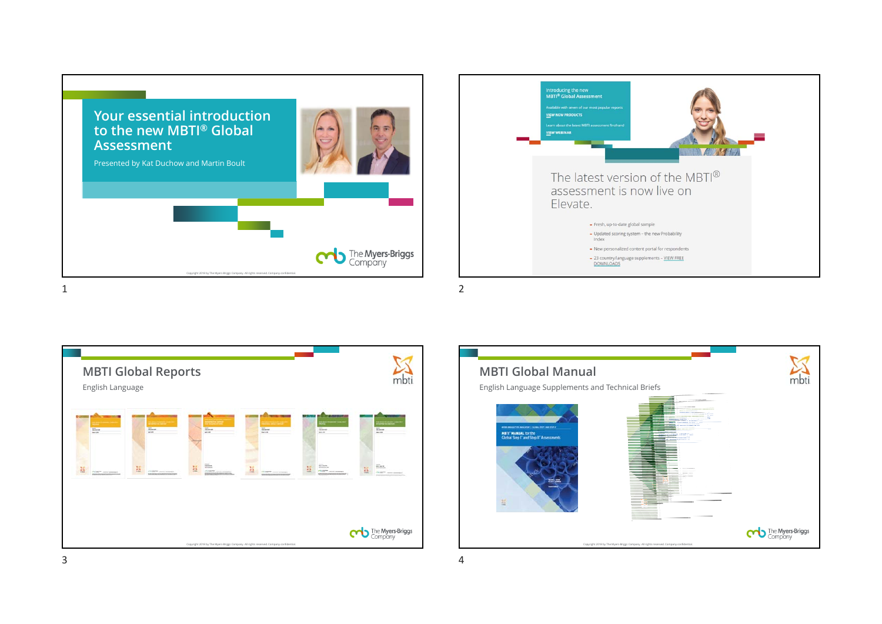





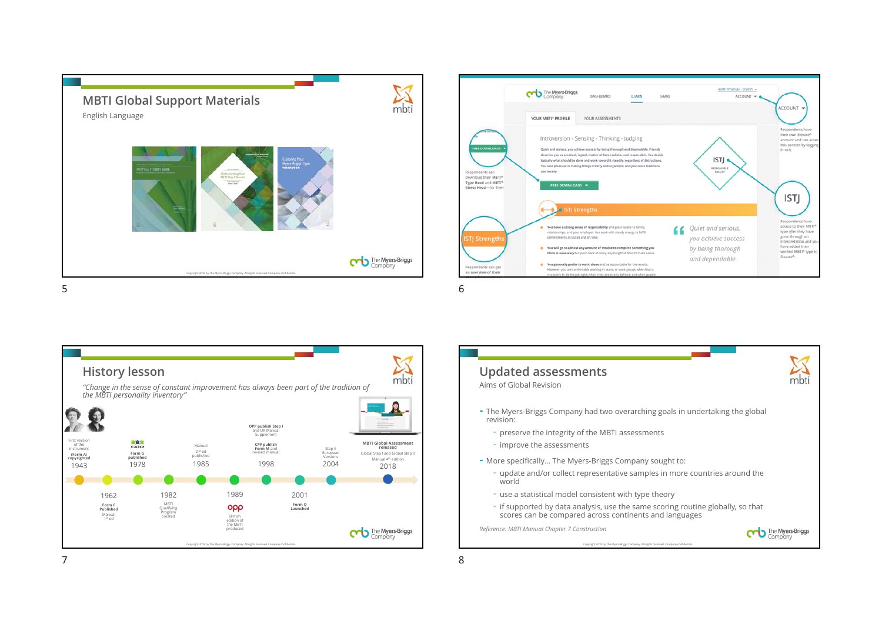



 $\sum_{\text{mbti}}$ **History lesson** *"Change in the sense of constant improvement has always been part of the tradition of the MBTI personality inventory"* **OPP publish Step I** and UK Manual Supplement 前度度 First version of the instrument **(Form A) MBTI Global Assessment CPP publish Form M** and revised manualManual**released**manaar<br>2<sup>nd</sup> ed<br>published Step II European Versions Global Step I and Global Step II **Form G published copyrighted** Manual 4th edition19851998194320181978 2004 **TO** 198219892001 1962 MBTI Qualifying Program created ορρ **Form Q Launched Form F Published** Manual<br>1st ed British edition of the MBTI produced The Myers-Briggs Copyright 2018 by The Myers-Briggs Company. All rights reserved. Company confidential.



7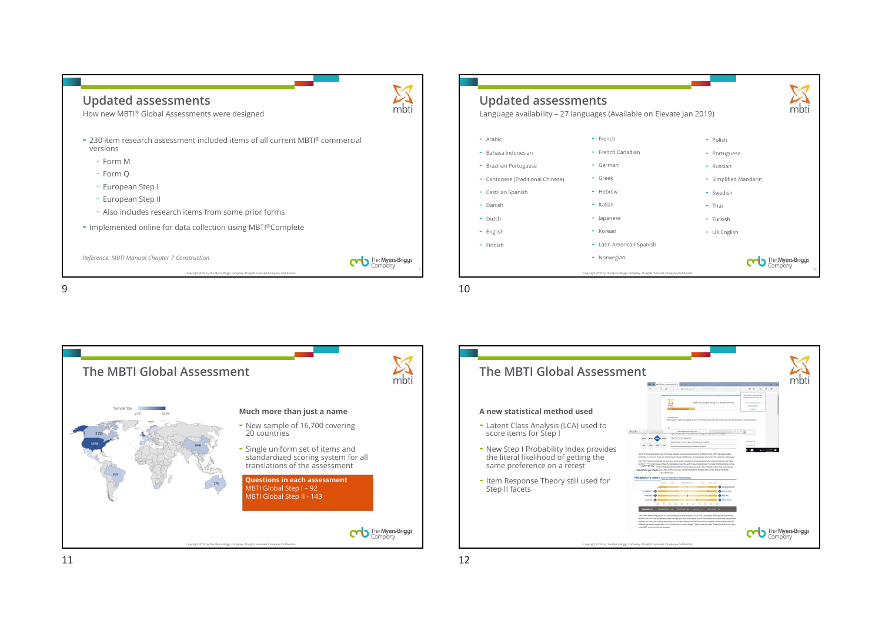

| <b>Updated assessments</b><br>Language availability - 27 languages (Available on Elevate Jan 2019) |                                                                                        |                       |
|----------------------------------------------------------------------------------------------------|----------------------------------------------------------------------------------------|-----------------------|
| - Arabic                                                                                           | - French                                                                               | - Polish              |
| Bahasa Indonesian                                                                                  | - French Canadian                                                                      | - Portuguese          |
| <b>Brazilian Portuguese</b><br>۰                                                                   | - German                                                                               | - Russian             |
| - Cantonese (Traditional Chinese)                                                                  | - Greek                                                                                | - Simplified Mandarin |
| - Castilian Spanish                                                                                | - Hebrew                                                                               | - Swedish             |
| Danish<br>٠                                                                                        | - Italian                                                                              | - Thai                |
| Dutch<br>٠                                                                                         | - Japanese                                                                             | - Turkish             |
| - English                                                                                          | - Korean                                                                               | - UK English          |
| Finnish<br>٠                                                                                       | - Latin American Spanish                                                               |                       |
|                                                                                                    | - Norwegian                                                                            |                       |
|                                                                                                    | Copyright 2018 by The Myers-Briggs Company. All rights reserved. Company confidential. | 10                    |

9